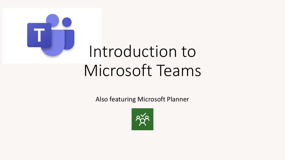

# Introduction to Microsoft Teams

Also featuring Microsoft Planner

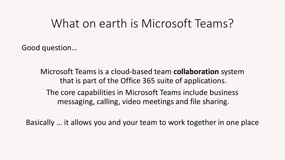### What on earth is Microsoft Teams?

Good question…

Microsoft Teams is a cloud-based team **collaboration** system that is part of the Office 365 suite of applications. The core capabilities in Microsoft Teams include business messaging, calling, video meetings and file sharing.

Basically … it allows you and your team to work together in one place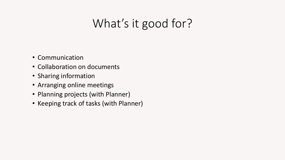## What's it good for?

- Communication
- Collaboration on documents
- Sharing information
- Arranging online meetings
- Planning projects (with Planner)
- Keeping track of tasks (with Planner)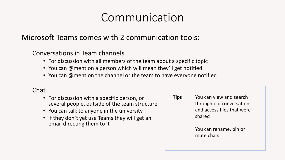### Communication

### Microsoft Teams comes with 2 communication tools:

Conversations in Team channels

- For discussion with all members of the team about a specific topic
- You can @mention a person which will mean they'll get notified
- You can @mention the channel or the team to have everyone notified

### Chat

- For discussion with a specific person, or several people, outside of the team structure
- You can talk to anyone in the university
- If they don't yet use Teams they will get an email directing them to it

You can view and search through old conversations and access files that were shared **Tips**

> You can rename, pin or mute chats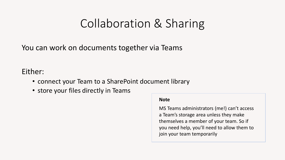### Collaboration & Sharing

You can work on documents together via Teams

### Either:

- connect your Team to a SharePoint document library
- store your files directly in Teams

#### **Note**

MS Teams administrators (me!) can't access a Team's storage area unless they make themselves a member of your team. So if you need help, you'll need to allow them to join your team temporarily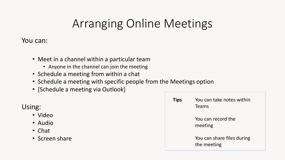## Arranging Online Meetings

You can:

- Meet in a channel within a particular team
	- Anyone in the channel can join the meeting
- Schedule a meeting from within a chat
- Schedule a meeting with specific people from the Meetings option
- [Schedule a meeting via Outlook]

Using:

- Video
- Audio
- Chat
- Screen share

| <b>Tips</b> | You can take notes within<br><b>Teams</b> |
|-------------|-------------------------------------------|
|             | You can record the<br>meeting             |
|             | You can share files during<br>the meeting |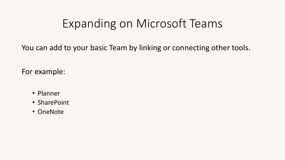### Expanding on Microsoft Teams

You can add to your basic Team by linking or connecting other tools.

For example:

- Planner
- SharePoint
- OneNote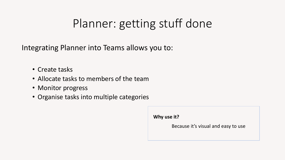## Planner: getting stuff done

Integrating Planner into Teams allows you to:

- Create tasks
- Allocate tasks to members of the team
- Monitor progress
- Organise tasks into multiple categories

**Why use it?**

Because it's visual and easy to use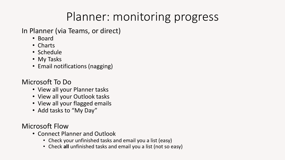## Planner: monitoring progress

In Planner (via Teams, or direct)

- Board
- Charts
- Schedule
- My Tasks
- Email notifications (nagging)

### Microsoft To Do

- View all your Planner tasks
- View all your Outlook tasks
- View all your flagged emails
- Add tasks to "My Day"

Microsoft Flow

- Connect Planner and Outlook
	- Check your unfinished tasks and email you a list (easy)
	- Check **all** unfinished tasks and email you a list (not so easy)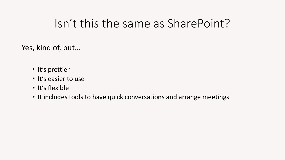### Isn't this the same as SharePoint?

Yes, kind of, but…

- It's prettier
- It's easier to use
- It's flexible
- It includes tools to have quick conversations and arrange meetings